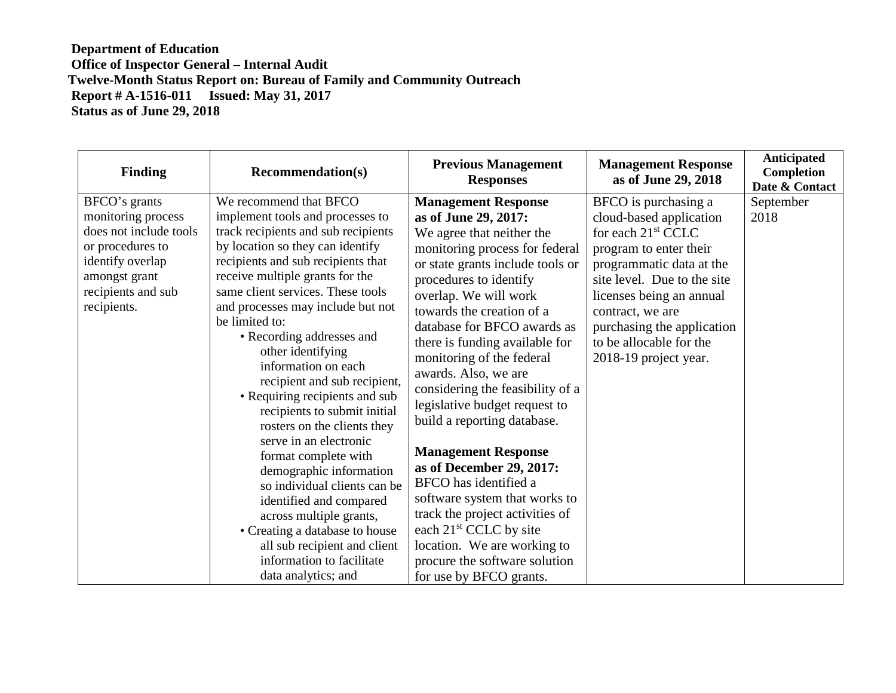| <b>Recommendation(s)</b>                                                                                                                                                                                                                                                                                                                                                                                                                                                                                                                                                                                                                                                                                                                                                               | <b>Previous Management</b><br><b>Responses</b>                                                                                                                                                                                                                                                                                                                                                                                                                                                                                                                                                                                                                                                                     | <b>Management Response</b><br>as of June 29, 2018                                                                                                                                                                                                                                              | Anticipated<br>Completion<br>Date & Contact |
|----------------------------------------------------------------------------------------------------------------------------------------------------------------------------------------------------------------------------------------------------------------------------------------------------------------------------------------------------------------------------------------------------------------------------------------------------------------------------------------------------------------------------------------------------------------------------------------------------------------------------------------------------------------------------------------------------------------------------------------------------------------------------------------|--------------------------------------------------------------------------------------------------------------------------------------------------------------------------------------------------------------------------------------------------------------------------------------------------------------------------------------------------------------------------------------------------------------------------------------------------------------------------------------------------------------------------------------------------------------------------------------------------------------------------------------------------------------------------------------------------------------------|------------------------------------------------------------------------------------------------------------------------------------------------------------------------------------------------------------------------------------------------------------------------------------------------|---------------------------------------------|
| We recommend that BFCO<br>implement tools and processes to<br>track recipients and sub recipients<br>by location so they can identify<br>recipients and sub recipients that<br>receive multiple grants for the<br>same client services. These tools<br>and processes may include but not<br>be limited to:<br>• Recording addresses and<br>other identifying<br>information on each<br>recipient and sub recipient,<br>• Requiring recipients and sub<br>recipients to submit initial<br>rosters on the clients they<br>serve in an electronic<br>format complete with<br>demographic information<br>so individual clients can be<br>identified and compared<br>across multiple grants,<br>• Creating a database to house<br>all sub recipient and client<br>information to facilitate | <b>Management Response</b><br>as of June 29, 2017:<br>We agree that neither the<br>monitoring process for federal<br>or state grants include tools or<br>procedures to identify<br>overlap. We will work<br>towards the creation of a<br>database for BFCO awards as<br>there is funding available for<br>monitoring of the federal<br>awards. Also, we are<br>considering the feasibility of a<br>legislative budget request to<br>build a reporting database.<br><b>Management Response</b><br>as of December 29, 2017:<br>BFCO has identified a<br>software system that works to<br>track the project activities of<br>each $21st$ CCLC by site<br>location. We are working to<br>procure the software solution | BFCO is purchasing a<br>cloud-based application<br>for each $21st$ CCLC<br>program to enter their<br>programmatic data at the<br>site level. Due to the site<br>licenses being an annual<br>contract, we are<br>purchasing the application<br>to be allocable for the<br>2018-19 project year. | September<br>2018                           |
|                                                                                                                                                                                                                                                                                                                                                                                                                                                                                                                                                                                                                                                                                                                                                                                        | data analytics; and                                                                                                                                                                                                                                                                                                                                                                                                                                                                                                                                                                                                                                                                                                | for use by BFCO grants.                                                                                                                                                                                                                                                                        |                                             |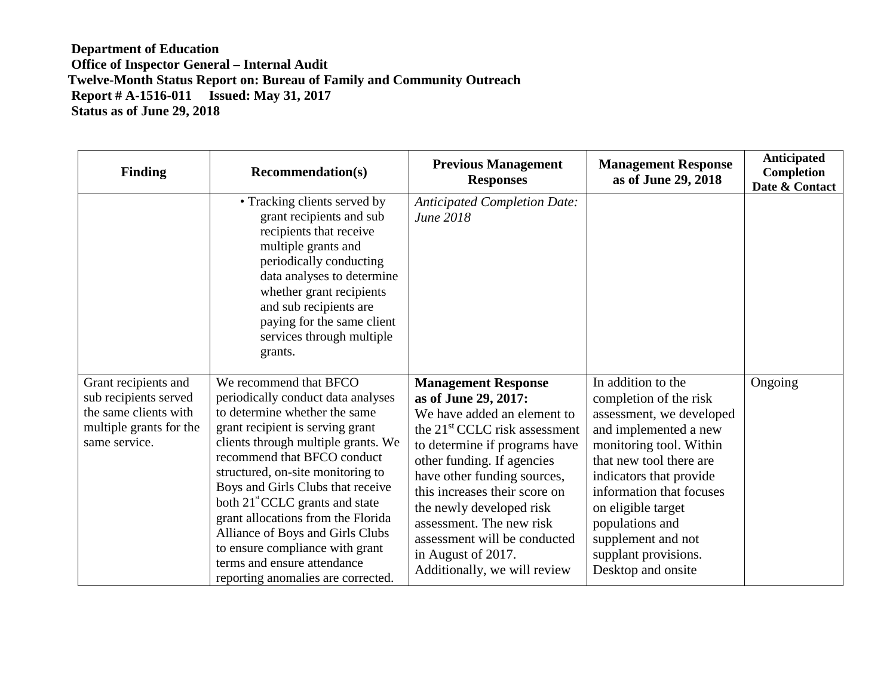| <b>Finding</b>                                                                                                     | <b>Recommendation(s)</b>                                                                                                                                                                                                                                                                                                                                                                                                                                                                                           | <b>Previous Management</b><br><b>Responses</b>                                                                                                                                                                                                                                                                                                                                                              | <b>Management Response</b><br>as of June 29, 2018                                                                                                                                                                                                                                                                           | <b>Anticipated</b><br>Completion<br>Date & Contact |
|--------------------------------------------------------------------------------------------------------------------|--------------------------------------------------------------------------------------------------------------------------------------------------------------------------------------------------------------------------------------------------------------------------------------------------------------------------------------------------------------------------------------------------------------------------------------------------------------------------------------------------------------------|-------------------------------------------------------------------------------------------------------------------------------------------------------------------------------------------------------------------------------------------------------------------------------------------------------------------------------------------------------------------------------------------------------------|-----------------------------------------------------------------------------------------------------------------------------------------------------------------------------------------------------------------------------------------------------------------------------------------------------------------------------|----------------------------------------------------|
|                                                                                                                    | • Tracking clients served by<br>grant recipients and sub<br>recipients that receive<br>multiple grants and<br>periodically conducting<br>data analyses to determine<br>whether grant recipients<br>and sub recipients are<br>paying for the same client<br>services through multiple<br>grants.                                                                                                                                                                                                                    | <b>Anticipated Completion Date:</b><br>June 2018                                                                                                                                                                                                                                                                                                                                                            |                                                                                                                                                                                                                                                                                                                             |                                                    |
| Grant recipients and<br>sub recipients served<br>the same clients with<br>multiple grants for the<br>same service. | We recommend that BFCO<br>periodically conduct data analyses<br>to determine whether the same<br>grant recipient is serving grant<br>clients through multiple grants. We<br>recommend that BFCO conduct<br>structured, on-site monitoring to<br>Boys and Girls Clubs that receive<br>both 21 <sup>st</sup> CCLC grants and state<br>grant allocations from the Florida<br>Alliance of Boys and Girls Clubs<br>to ensure compliance with grant<br>terms and ensure attendance<br>reporting anomalies are corrected. | <b>Management Response</b><br>as of June 29, 2017:<br>We have added an element to<br>the 21 <sup>st</sup> CCLC risk assessment<br>to determine if programs have<br>other funding. If agencies<br>have other funding sources,<br>this increases their score on<br>the newly developed risk<br>assessment. The new risk<br>assessment will be conducted<br>in August of 2017.<br>Additionally, we will review | In addition to the<br>completion of the risk<br>assessment, we developed<br>and implemented a new<br>monitoring tool. Within<br>that new tool there are<br>indicators that provide<br>information that focuses<br>on eligible target<br>populations and<br>supplement and not<br>supplant provisions.<br>Desktop and onsite | Ongoing                                            |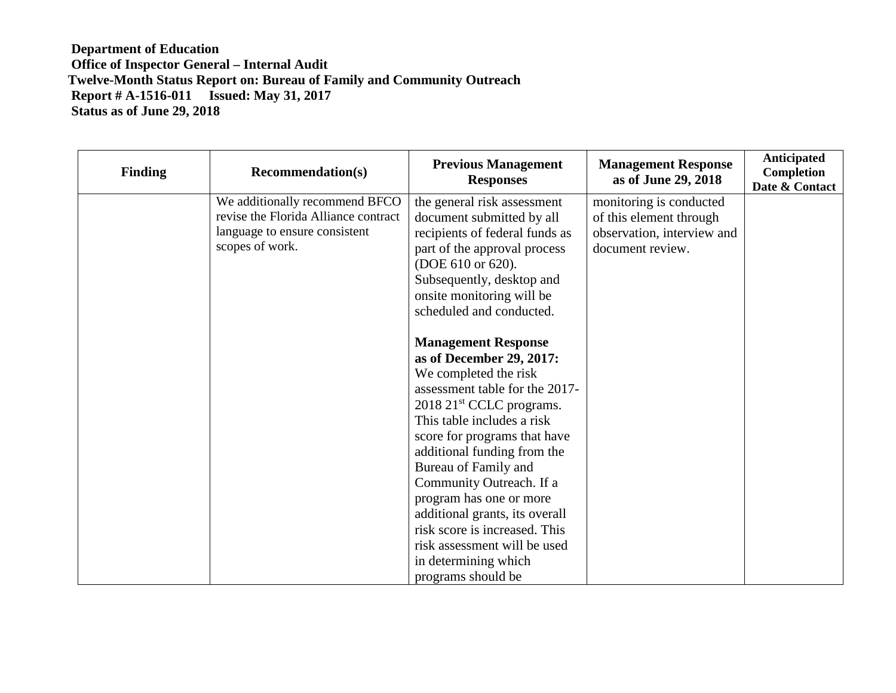| <b>Finding</b> | <b>Recommendation(s)</b>                                                                                                   | <b>Previous Management</b><br><b>Responses</b>                                                                                                                                                                                                                                                                                                                                                                                                                                           | <b>Management Response</b><br>as of June 29, 2018                                                    | <b>Anticipated</b><br>Completion<br>Date & Contact |
|----------------|----------------------------------------------------------------------------------------------------------------------------|------------------------------------------------------------------------------------------------------------------------------------------------------------------------------------------------------------------------------------------------------------------------------------------------------------------------------------------------------------------------------------------------------------------------------------------------------------------------------------------|------------------------------------------------------------------------------------------------------|----------------------------------------------------|
|                | We additionally recommend BFCO<br>revise the Florida Alliance contract<br>language to ensure consistent<br>scopes of work. | the general risk assessment<br>document submitted by all<br>recipients of federal funds as<br>part of the approval process<br>(DOE 610 or 620).<br>Subsequently, desktop and<br>onsite monitoring will be<br>scheduled and conducted.                                                                                                                                                                                                                                                    | monitoring is conducted<br>of this element through<br>observation, interview and<br>document review. |                                                    |
|                |                                                                                                                            | <b>Management Response</b><br>as of December 29, 2017:<br>We completed the risk<br>assessment table for the 2017-<br>$2018$ 21 <sup>st</sup> CCLC programs.<br>This table includes a risk<br>score for programs that have<br>additional funding from the<br>Bureau of Family and<br>Community Outreach. If a<br>program has one or more<br>additional grants, its overall<br>risk score is increased. This<br>risk assessment will be used<br>in determining which<br>programs should be |                                                                                                      |                                                    |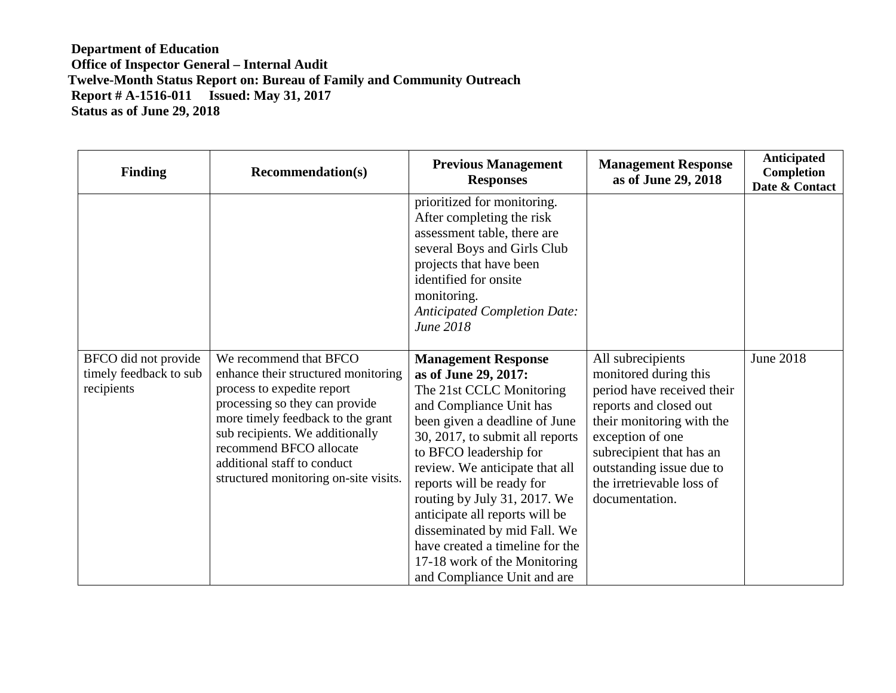| <b>Finding</b>                                               | <b>Recommendation(s)</b>                                                                                                                                                                                                                                                                                 | <b>Previous Management</b><br><b>Responses</b>                                                                                                                                                                                                                                                                                                                                                                                                                             | <b>Management Response</b><br>as of June 29, 2018                                                                                                                                                                                                          | Anticipated<br>Completion<br>Date & Contact |
|--------------------------------------------------------------|----------------------------------------------------------------------------------------------------------------------------------------------------------------------------------------------------------------------------------------------------------------------------------------------------------|----------------------------------------------------------------------------------------------------------------------------------------------------------------------------------------------------------------------------------------------------------------------------------------------------------------------------------------------------------------------------------------------------------------------------------------------------------------------------|------------------------------------------------------------------------------------------------------------------------------------------------------------------------------------------------------------------------------------------------------------|---------------------------------------------|
|                                                              |                                                                                                                                                                                                                                                                                                          | prioritized for monitoring.<br>After completing the risk<br>assessment table, there are<br>several Boys and Girls Club<br>projects that have been<br>identified for onsite<br>monitoring.<br><b>Anticipated Completion Date:</b><br>June 2018                                                                                                                                                                                                                              |                                                                                                                                                                                                                                                            |                                             |
| BFCO did not provide<br>timely feedback to sub<br>recipients | We recommend that BFCO<br>enhance their structured monitoring<br>process to expedite report<br>processing so they can provide<br>more timely feedback to the grant<br>sub recipients. We additionally<br>recommend BFCO allocate<br>additional staff to conduct<br>structured monitoring on-site visits. | <b>Management Response</b><br>as of June 29, 2017:<br>The 21st CCLC Monitoring<br>and Compliance Unit has<br>been given a deadline of June<br>30, 2017, to submit all reports<br>to BFCO leadership for<br>review. We anticipate that all<br>reports will be ready for<br>routing by July 31, 2017. We<br>anticipate all reports will be<br>disseminated by mid Fall. We<br>have created a timeline for the<br>17-18 work of the Monitoring<br>and Compliance Unit and are | All subrecipients<br>monitored during this<br>period have received their<br>reports and closed out<br>their monitoring with the<br>exception of one<br>subrecipient that has an<br>outstanding issue due to<br>the irretrievable loss of<br>documentation. | <b>June 2018</b>                            |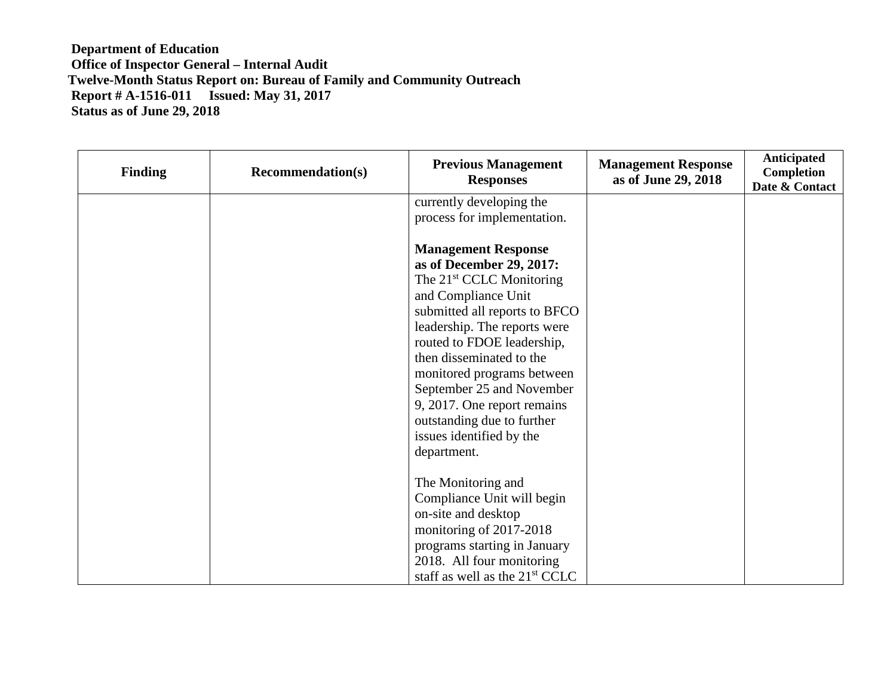| <b>Finding</b> | <b>Recommendation(s)</b> | <b>Previous Management</b><br><b>Responses</b>                                                                                                                                                                                                                                                                                                                                                                      | <b>Management Response</b><br>as of June 29, 2018 | <b>Anticipated</b><br><b>Completion</b><br>Date & Contact |
|----------------|--------------------------|---------------------------------------------------------------------------------------------------------------------------------------------------------------------------------------------------------------------------------------------------------------------------------------------------------------------------------------------------------------------------------------------------------------------|---------------------------------------------------|-----------------------------------------------------------|
|                |                          | currently developing the<br>process for implementation.                                                                                                                                                                                                                                                                                                                                                             |                                                   |                                                           |
|                |                          | <b>Management Response</b><br>as of December 29, 2017:<br>The 21 <sup>st</sup> CCLC Monitoring<br>and Compliance Unit<br>submitted all reports to BFCO<br>leadership. The reports were<br>routed to FDOE leadership,<br>then disseminated to the<br>monitored programs between<br>September 25 and November<br>9, 2017. One report remains<br>outstanding due to further<br>issues identified by the<br>department. |                                                   |                                                           |
|                |                          | The Monitoring and<br>Compliance Unit will begin<br>on-site and desktop<br>monitoring of 2017-2018<br>programs starting in January<br>2018. All four monitoring<br>staff as well as the $21st$ CCLC                                                                                                                                                                                                                 |                                                   |                                                           |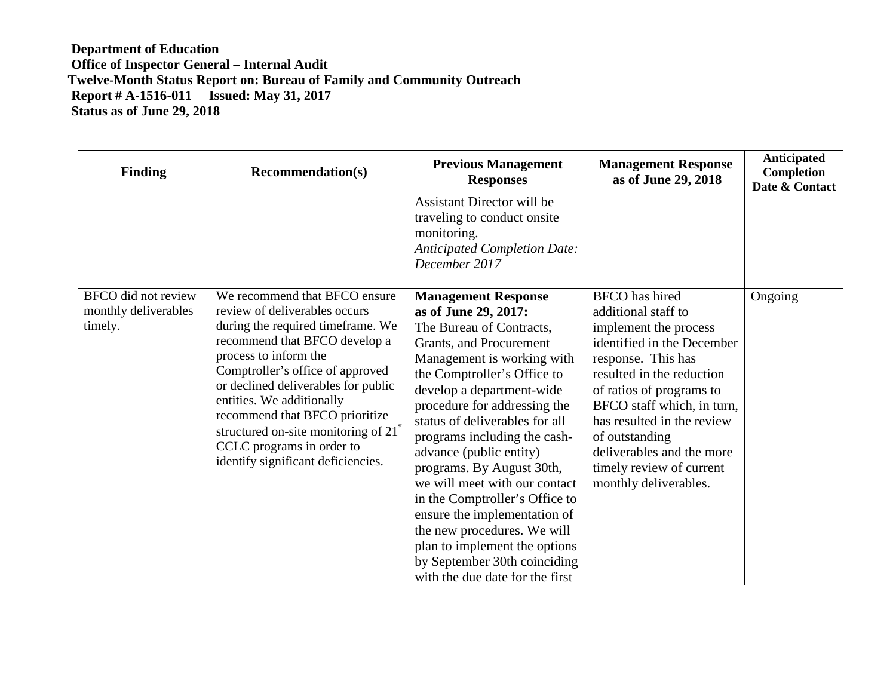| <b>Finding</b>                                                | <b>Recommendation(s)</b>                                                                                                                                                                                                                                                                                                                                                                                                            | <b>Previous Management</b><br><b>Responses</b>                                                                                                                                                                                                                                                                                                                                                                                                                                                                                                                                                      | <b>Management Response</b><br>as of June 29, 2018                                                                                                                                                                                                                                                                                                  | Anticipated<br>Completion<br>Date & Contact |
|---------------------------------------------------------------|-------------------------------------------------------------------------------------------------------------------------------------------------------------------------------------------------------------------------------------------------------------------------------------------------------------------------------------------------------------------------------------------------------------------------------------|-----------------------------------------------------------------------------------------------------------------------------------------------------------------------------------------------------------------------------------------------------------------------------------------------------------------------------------------------------------------------------------------------------------------------------------------------------------------------------------------------------------------------------------------------------------------------------------------------------|----------------------------------------------------------------------------------------------------------------------------------------------------------------------------------------------------------------------------------------------------------------------------------------------------------------------------------------------------|---------------------------------------------|
|                                                               |                                                                                                                                                                                                                                                                                                                                                                                                                                     | Assistant Director will be<br>traveling to conduct onsite<br>monitoring.<br><b>Anticipated Completion Date:</b><br>December 2017                                                                                                                                                                                                                                                                                                                                                                                                                                                                    |                                                                                                                                                                                                                                                                                                                                                    |                                             |
| <b>BFCO</b> did not review<br>monthly deliverables<br>timely. | We recommend that BFCO ensure<br>review of deliverables occurs<br>during the required timeframe. We<br>recommend that BFCO develop a<br>process to inform the<br>Comptroller's office of approved<br>or declined deliverables for public<br>entities. We additionally<br>recommend that BFCO prioritize<br>structured on-site monitoring of $21^{\rm \tiny{st}}$<br>CCLC programs in order to<br>identify significant deficiencies. | <b>Management Response</b><br>as of June 29, 2017:<br>The Bureau of Contracts,<br>Grants, and Procurement<br>Management is working with<br>the Comptroller's Office to<br>develop a department-wide<br>procedure for addressing the<br>status of deliverables for all<br>programs including the cash-<br>advance (public entity)<br>programs. By August 30th,<br>we will meet with our contact<br>in the Comptroller's Office to<br>ensure the implementation of<br>the new procedures. We will<br>plan to implement the options<br>by September 30th coinciding<br>with the due date for the first | <b>BFCO</b> has hired<br>additional staff to<br>implement the process<br>identified in the December<br>response. This has<br>resulted in the reduction<br>of ratios of programs to<br>BFCO staff which, in turn,<br>has resulted in the review<br>of outstanding<br>deliverables and the more<br>timely review of current<br>monthly deliverables. | Ongoing                                     |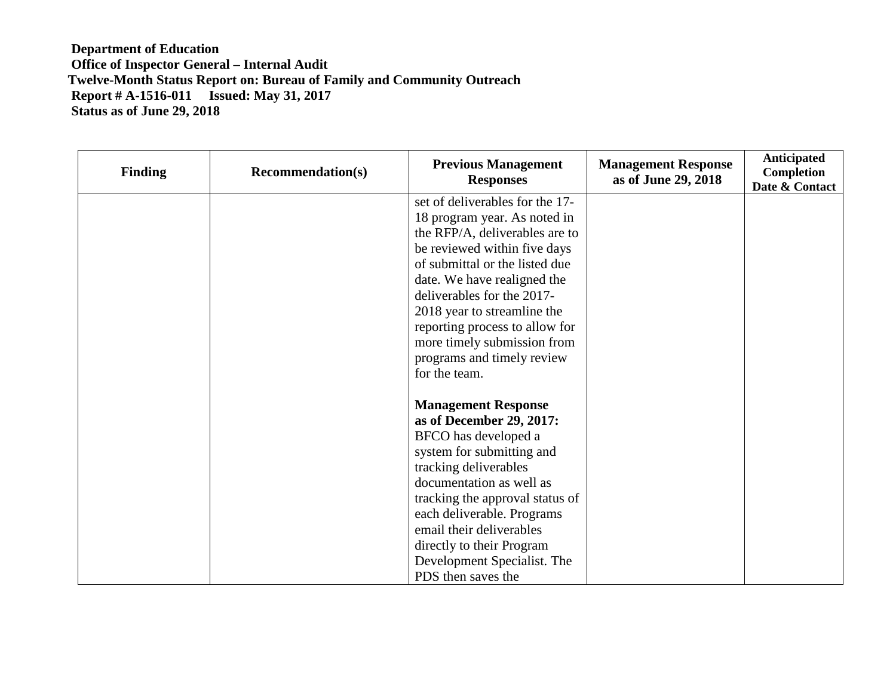| <b>Finding</b> | <b>Recommendation(s)</b> | <b>Previous Management</b><br><b>Responses</b> | <b>Management Response</b><br>as of June 29, 2018 | Anticipated<br><b>Completion</b><br>Date & Contact |
|----------------|--------------------------|------------------------------------------------|---------------------------------------------------|----------------------------------------------------|
|                |                          | set of deliverables for the 17-                |                                                   |                                                    |
|                |                          | 18 program year. As noted in                   |                                                   |                                                    |
|                |                          | the RFP/A, deliverables are to                 |                                                   |                                                    |
|                |                          | be reviewed within five days                   |                                                   |                                                    |
|                |                          | of submittal or the listed due                 |                                                   |                                                    |
|                |                          | date. We have realigned the                    |                                                   |                                                    |
|                |                          | deliverables for the 2017-                     |                                                   |                                                    |
|                |                          | 2018 year to streamline the                    |                                                   |                                                    |
|                |                          | reporting process to allow for                 |                                                   |                                                    |
|                |                          | more timely submission from                    |                                                   |                                                    |
|                |                          | programs and timely review                     |                                                   |                                                    |
|                |                          | for the team.                                  |                                                   |                                                    |
|                |                          | <b>Management Response</b>                     |                                                   |                                                    |
|                |                          | as of December 29, 2017:                       |                                                   |                                                    |
|                |                          | BFCO has developed a                           |                                                   |                                                    |
|                |                          | system for submitting and                      |                                                   |                                                    |
|                |                          | tracking deliverables                          |                                                   |                                                    |
|                |                          | documentation as well as                       |                                                   |                                                    |
|                |                          | tracking the approval status of                |                                                   |                                                    |
|                |                          | each deliverable. Programs                     |                                                   |                                                    |
|                |                          | email their deliverables                       |                                                   |                                                    |
|                |                          | directly to their Program                      |                                                   |                                                    |
|                |                          | Development Specialist. The                    |                                                   |                                                    |
|                |                          | PDS then saves the                             |                                                   |                                                    |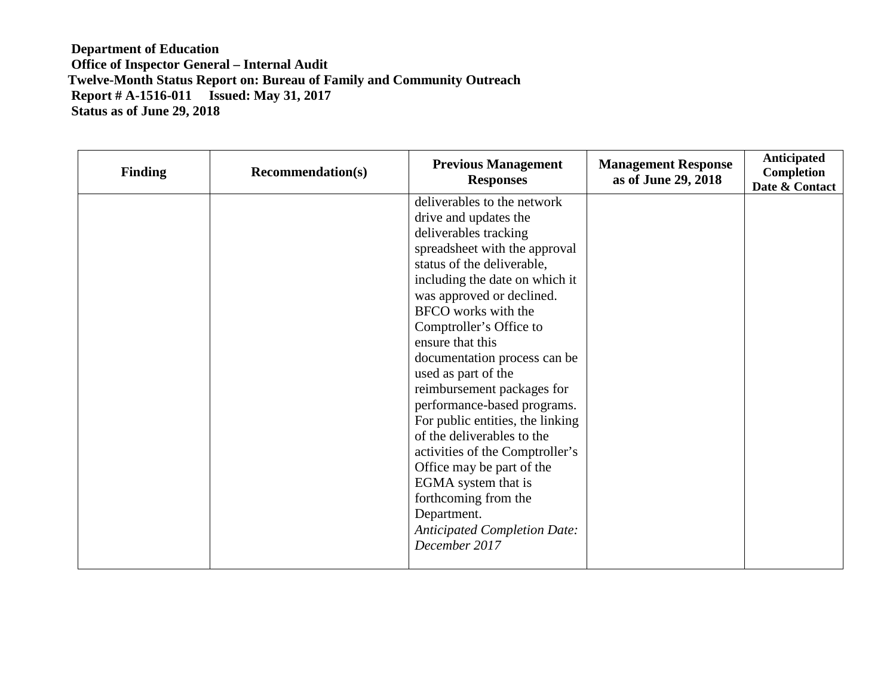| <b>Finding</b> | <b>Recommendation(s)</b> | <b>Previous Management</b><br><b>Responses</b>                                                                                                                                                                                                                                                                                                                                                                                                                                                                                                                                                                                                                | <b>Management Response</b><br>as of June 29, 2018 | <b>Anticipated</b><br>Completion<br>Date & Contact |
|----------------|--------------------------|---------------------------------------------------------------------------------------------------------------------------------------------------------------------------------------------------------------------------------------------------------------------------------------------------------------------------------------------------------------------------------------------------------------------------------------------------------------------------------------------------------------------------------------------------------------------------------------------------------------------------------------------------------------|---------------------------------------------------|----------------------------------------------------|
|                |                          | deliverables to the network<br>drive and updates the<br>deliverables tracking<br>spreadsheet with the approval<br>status of the deliverable,<br>including the date on which it<br>was approved or declined.<br>BFCO works with the<br>Comptroller's Office to<br>ensure that this<br>documentation process can be<br>used as part of the<br>reimbursement packages for<br>performance-based programs.<br>For public entities, the linking<br>of the deliverables to the<br>activities of the Comptroller's<br>Office may be part of the<br>EGMA system that is<br>forthcoming from the<br>Department.<br><b>Anticipated Completion Date:</b><br>December 2017 |                                                   |                                                    |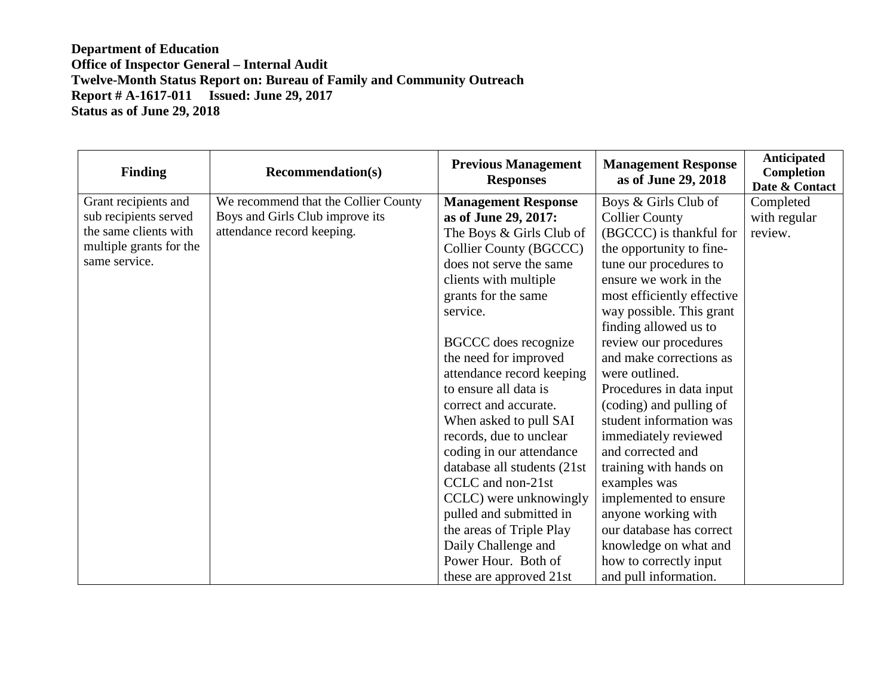| <b>Finding</b>          | <b>Recommendation(s)</b>             | <b>Previous Management</b><br><b>Responses</b> | <b>Management Response</b><br>as of June 29, 2018 | <b>Anticipated</b><br>Completion<br>Date & Contact |
|-------------------------|--------------------------------------|------------------------------------------------|---------------------------------------------------|----------------------------------------------------|
| Grant recipients and    | We recommend that the Collier County | <b>Management Response</b>                     | Boys & Girls Club of                              | Completed                                          |
| sub recipients served   | Boys and Girls Club improve its      | as of June 29, 2017:                           | <b>Collier County</b>                             | with regular                                       |
| the same clients with   | attendance record keeping.           | The Boys & Girls Club of                       | (BGCCC) is thankful for                           | review.                                            |
| multiple grants for the |                                      | Collier County (BGCCC)                         | the opportunity to fine-                          |                                                    |
| same service.           |                                      | does not serve the same                        | tune our procedures to                            |                                                    |
|                         |                                      | clients with multiple                          | ensure we work in the                             |                                                    |
|                         |                                      | grants for the same                            | most efficiently effective                        |                                                    |
|                         |                                      | service.                                       | way possible. This grant                          |                                                    |
|                         |                                      |                                                | finding allowed us to                             |                                                    |
|                         |                                      | <b>BGCCC</b> does recognize                    | review our procedures                             |                                                    |
|                         |                                      | the need for improved                          | and make corrections as                           |                                                    |
|                         |                                      | attendance record keeping                      | were outlined.                                    |                                                    |
|                         |                                      | to ensure all data is                          | Procedures in data input                          |                                                    |
|                         |                                      | correct and accurate.                          | (coding) and pulling of                           |                                                    |
|                         |                                      | When asked to pull SAI                         | student information was                           |                                                    |
|                         |                                      | records, due to unclear                        | immediately reviewed                              |                                                    |
|                         |                                      | coding in our attendance                       | and corrected and                                 |                                                    |
|                         |                                      | database all students (21st                    | training with hands on                            |                                                    |
|                         |                                      | CCLC and non-21st                              | examples was                                      |                                                    |
|                         |                                      | CCLC) were unknowingly                         | implemented to ensure                             |                                                    |
|                         |                                      | pulled and submitted in                        | anyone working with                               |                                                    |
|                         |                                      | the areas of Triple Play                       | our database has correct                          |                                                    |
|                         |                                      | Daily Challenge and                            | knowledge on what and                             |                                                    |
|                         |                                      | Power Hour. Both of                            | how to correctly input                            |                                                    |
|                         |                                      | these are approved 21st                        | and pull information.                             |                                                    |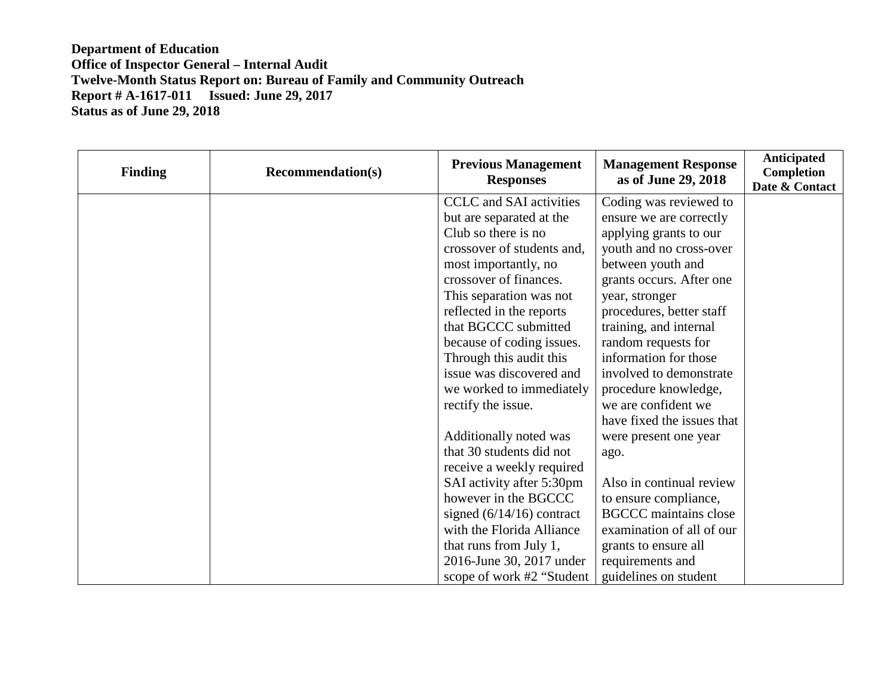| <b>Finding</b> | <b>Recommendation(s)</b> | <b>Previous Management</b><br><b>Responses</b> | <b>Management Response</b><br>as of June 29, 2018 | <b>Anticipated</b><br><b>Completion</b><br>Date & Contact |
|----------------|--------------------------|------------------------------------------------|---------------------------------------------------|-----------------------------------------------------------|
|                |                          | <b>CCLC</b> and SAI activities                 | Coding was reviewed to                            |                                                           |
|                |                          | but are separated at the                       | ensure we are correctly                           |                                                           |
|                |                          | Club so there is no                            | applying grants to our                            |                                                           |
|                |                          | crossover of students and,                     | youth and no cross-over                           |                                                           |
|                |                          | most importantly, no                           | between youth and                                 |                                                           |
|                |                          | crossover of finances.                         | grants occurs. After one                          |                                                           |
|                |                          | This separation was not                        | year, stronger                                    |                                                           |
|                |                          | reflected in the reports                       | procedures, better staff                          |                                                           |
|                |                          | that BGCCC submitted                           | training, and internal                            |                                                           |
|                |                          | because of coding issues.                      | random requests for                               |                                                           |
|                |                          | Through this audit this                        | information for those                             |                                                           |
|                |                          | issue was discovered and                       | involved to demonstrate                           |                                                           |
|                |                          | we worked to immediately                       | procedure knowledge,                              |                                                           |
|                |                          | rectify the issue.                             | we are confident we                               |                                                           |
|                |                          |                                                | have fixed the issues that                        |                                                           |
|                |                          | Additionally noted was                         | were present one year                             |                                                           |
|                |                          | that 30 students did not                       | ago.                                              |                                                           |
|                |                          | receive a weekly required                      |                                                   |                                                           |
|                |                          | SAI activity after 5:30pm                      | Also in continual review                          |                                                           |
|                |                          | however in the BGCCC                           | to ensure compliance,                             |                                                           |
|                |                          | signed $(6/14/16)$ contract                    | <b>BGCCC</b> maintains close                      |                                                           |
|                |                          | with the Florida Alliance                      | examination of all of our                         |                                                           |
|                |                          | that runs from July 1,                         | grants to ensure all                              |                                                           |
|                |                          | 2016-June 30, 2017 under                       | requirements and                                  |                                                           |
|                |                          | scope of work #2 "Student                      | guidelines on student                             |                                                           |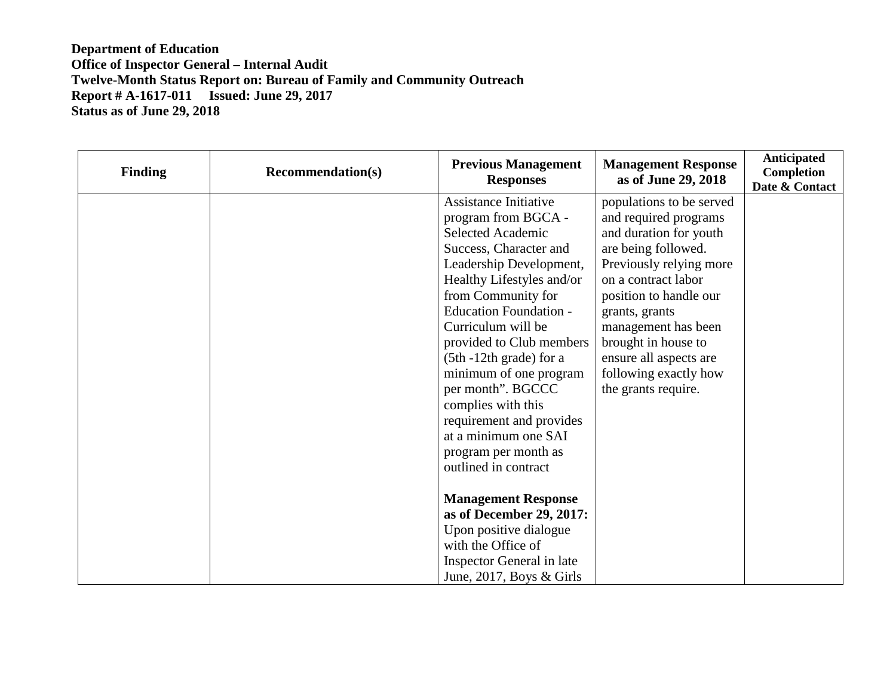| <b>Finding</b> | <b>Recommendation(s)</b> | <b>Previous Management</b><br><b>Responses</b>                                                                                                                                                                                                                                                            | <b>Management Response</b><br>as of June 29, 2018                                                                                                                | <b>Anticipated</b><br>Completion<br>Date & Contact |
|----------------|--------------------------|-----------------------------------------------------------------------------------------------------------------------------------------------------------------------------------------------------------------------------------------------------------------------------------------------------------|------------------------------------------------------------------------------------------------------------------------------------------------------------------|----------------------------------------------------|
|                |                          | <b>Assistance Initiative</b><br>program from BGCA -<br>Selected Academic<br>Success, Character and<br>Leadership Development,<br>Healthy Lifestyles and/or                                                                                                                                                | populations to be served<br>and required programs<br>and duration for youth<br>are being followed.<br>Previously relying more<br>on a contract labor             |                                                    |
|                |                          | from Community for<br><b>Education Foundation -</b><br>Curriculum will be<br>provided to Club members<br>(5th -12th grade) for a<br>minimum of one program<br>per month". BGCCC<br>complies with this<br>requirement and provides<br>at a minimum one SAI<br>program per month as<br>outlined in contract | position to handle our<br>grants, grants<br>management has been<br>brought in house to<br>ensure all aspects are<br>following exactly how<br>the grants require. |                                                    |
|                |                          | <b>Management Response</b><br>as of December 29, 2017:<br>Upon positive dialogue<br>with the Office of<br>Inspector General in late<br>June, 2017, Boys $& Girls$                                                                                                                                         |                                                                                                                                                                  |                                                    |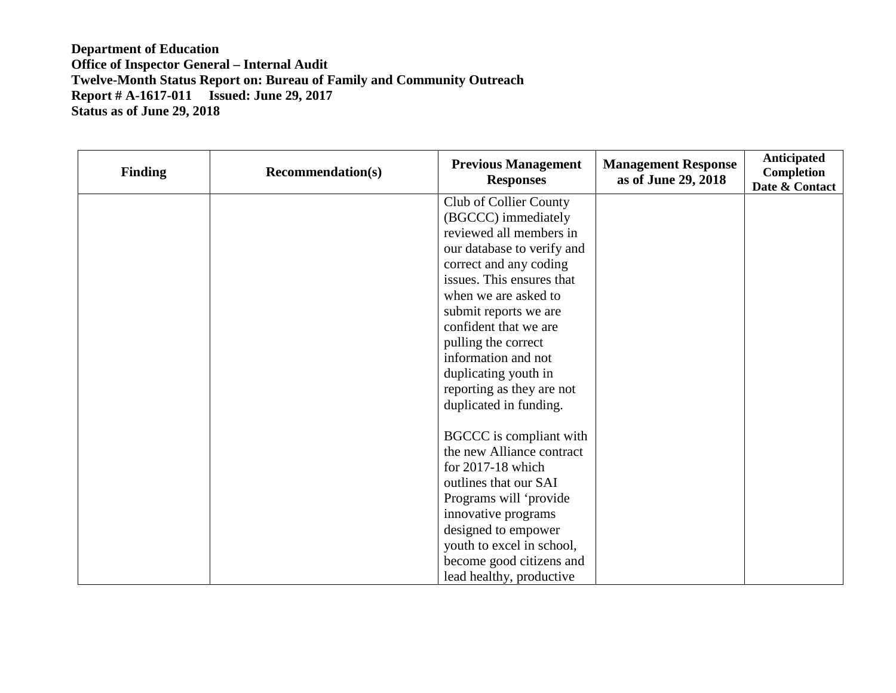| <b>Finding</b> | <b>Recommendation(s)</b> | <b>Previous Management</b><br><b>Responses</b> | <b>Management Response</b><br>as of June 29, 2018 | Anticipated<br>Completion<br>Date & Contact |
|----------------|--------------------------|------------------------------------------------|---------------------------------------------------|---------------------------------------------|
|                |                          | Club of Collier County                         |                                                   |                                             |
|                |                          | (BGCCC) immediately                            |                                                   |                                             |
|                |                          | reviewed all members in                        |                                                   |                                             |
|                |                          | our database to verify and                     |                                                   |                                             |
|                |                          | correct and any coding                         |                                                   |                                             |
|                |                          | issues. This ensures that                      |                                                   |                                             |
|                |                          | when we are asked to                           |                                                   |                                             |
|                |                          | submit reports we are                          |                                                   |                                             |
|                |                          | confident that we are                          |                                                   |                                             |
|                |                          | pulling the correct                            |                                                   |                                             |
|                |                          | information and not                            |                                                   |                                             |
|                |                          | duplicating youth in                           |                                                   |                                             |
|                |                          | reporting as they are not                      |                                                   |                                             |
|                |                          | duplicated in funding.                         |                                                   |                                             |
|                |                          | BGCCC is compliant with                        |                                                   |                                             |
|                |                          | the new Alliance contract                      |                                                   |                                             |
|                |                          | for 2017-18 which                              |                                                   |                                             |
|                |                          | outlines that our SAI                          |                                                   |                                             |
|                |                          | Programs will 'provide                         |                                                   |                                             |
|                |                          | innovative programs                            |                                                   |                                             |
|                |                          | designed to empower                            |                                                   |                                             |
|                |                          | youth to excel in school,                      |                                                   |                                             |
|                |                          | become good citizens and                       |                                                   |                                             |
|                |                          | lead healthy, productive                       |                                                   |                                             |